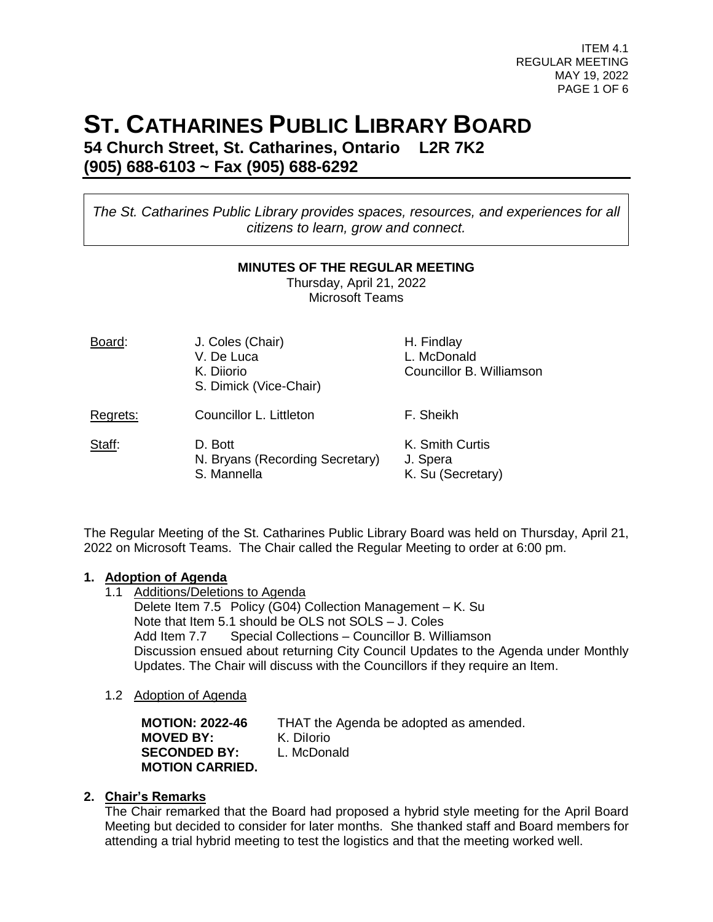ITEM 4.1 REGULAR MEETING MAY 19, 2022 PAGE 1 OF 6

# **ST. CATHARINES PUBLIC LIBRARY BOARD**

**54 Church Street, St. Catharines, Ontario L2R 7K2 (905) 688-6103 ~ Fax (905) 688-6292**

*The St. Catharines Public Library provides spaces, resources, and experiences for all citizens to learn, grow and connect.*

#### **MINUTES OF THE REGULAR MEETING**

Thursday, April 21, 2022 Microsoft Teams

| Board:   | J. Coles (Chair)<br>V. De Luca<br>K. Diiorio<br>S. Dimick (Vice-Chair) | H. Findlay<br>L. McDonald<br>Councillor B. Williamson |
|----------|------------------------------------------------------------------------|-------------------------------------------------------|
| Regrets: | Councillor L. Littleton                                                | F. Sheikh                                             |
| Staff:   | D. Bott<br>N. Bryans (Recording Secretary)<br>S. Mannella              | K. Smith Curtis<br>J. Spera<br>K. Su (Secretary)      |

The Regular Meeting of the St. Catharines Public Library Board was held on Thursday, April 21, 2022 on Microsoft Teams. The Chair called the Regular Meeting to order at 6:00 pm.

# **1. Adoption of Agenda**

- 1.1 Additions/Deletions to Agenda Delete Item 7.5 Policy (G04) Collection Management – K. Su Note that Item 5.1 should be OLS not SOLS – J. Coles Add Item 7.7 Special Collections – Councillor B. Williamson Discussion ensued about returning City Council Updates to the Agenda under Monthly Updates. The Chair will discuss with the Councillors if they require an Item.
- 1.2 Adoption of Agenda

| <b>MOTION: 2022-46</b> | THAT the Agenda be adopted as amended. |
|------------------------|----------------------------------------|
| <b>MOVED BY:</b>       | K. Dilorio                             |
| <b>SECONDED BY:</b>    | L. McDonald                            |
| <b>MOTION CARRIED.</b> |                                        |

### **2. Chair's Remarks**

The Chair remarked that the Board had proposed a hybrid style meeting for the April Board Meeting but decided to consider for later months. She thanked staff and Board members for attending a trial hybrid meeting to test the logistics and that the meeting worked well.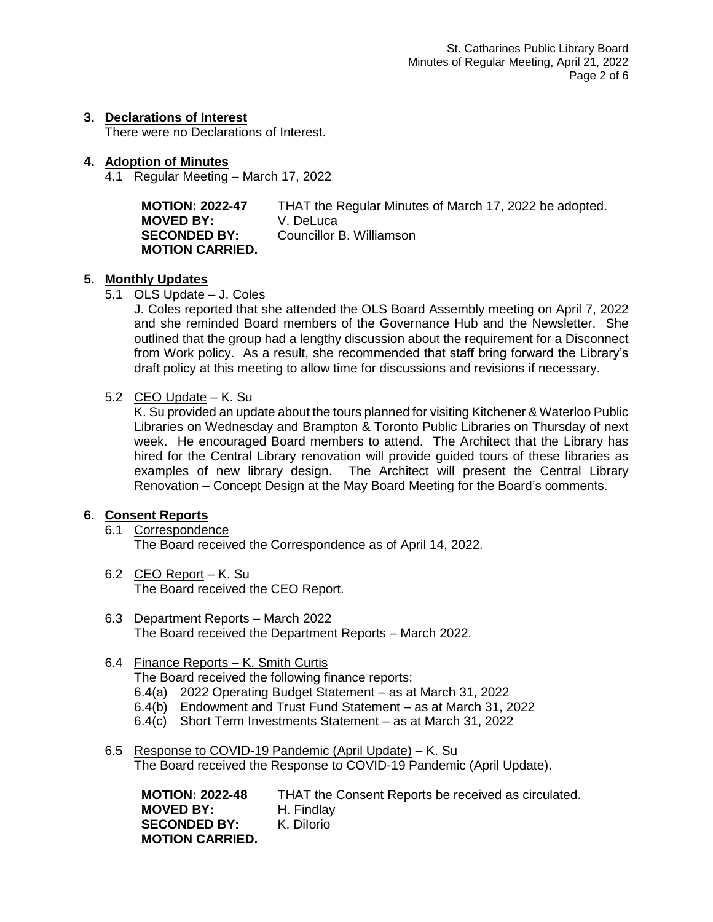## **3. Declarations of Interest**

There were no Declarations of Interest.

- **4. Adoption of Minutes**
	- 4.1 Regular Meeting March 17, 2022

**MOTION: 2022-47** THAT the Regular Minutes of March 17, 2022 be adopted. **MOVED BY:** V. DeLuca **SECONDED BY:** Councillor B. Williamson **MOTION CARRIED.**

## **5. Monthly Updates**

5.1 OLS Update – J. Coles

J. Coles reported that she attended the OLS Board Assembly meeting on April 7, 2022 and she reminded Board members of the Governance Hub and the Newsletter. She outlined that the group had a lengthy discussion about the requirement for a Disconnect from Work policy. As a result, she recommended that staff bring forward the Library's draft policy at this meeting to allow time for discussions and revisions if necessary.

5.2 CEO Update - K. Su

K. Su provided an update about the tours planned for visiting Kitchener & Waterloo Public Libraries on Wednesday and Brampton & Toronto Public Libraries on Thursday of next week. He encouraged Board members to attend. The Architect that the Library has hired for the Central Library renovation will provide guided tours of these libraries as examples of new library design. The Architect will present the Central Library Renovation – Concept Design at the May Board Meeting for the Board's comments.

### **6. Consent Reports**

- 6.1 Correspondence The Board received the Correspondence as of April 14, 2022.
- 6.2 CEO Report K. Su The Board received the CEO Report.
- 6.3 Department Reports March 2022 The Board received the Department Reports – March 2022.

## 6.4 Finance Reports – K. Smith Curtis

The Board received the following finance reports:

- 6.4(a) 2022 Operating Budget Statement as at March 31, 2022
- 6.4(b) Endowment and Trust Fund Statement as at March 31, 2022
- 6.4(c) Short Term Investments Statement as at March 31, 2022
- 6.5 Response to COVID-19 Pandemic (April Update) K. Su The Board received the Response to COVID-19 Pandemic (April Update).

**MOTION: 2022-48** THAT the Consent Reports be received as circulated. **MOVED BY:** H. Findlay **SECONDED BY:** K. Dilorio **MOTION CARRIED.**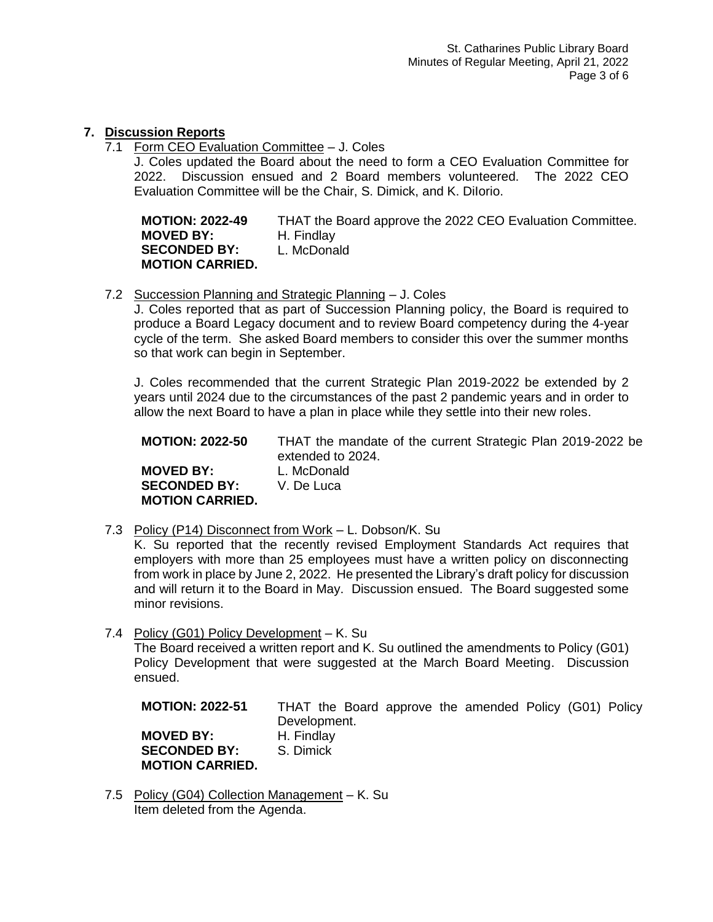## **7. Discussion Reports**

7.1 Form CEO Evaluation Committee – J. Coles

J. Coles updated the Board about the need to form a CEO Evaluation Committee for 2022. Discussion ensued and 2 Board members volunteered. The 2022 CEO Evaluation Committee will be the Chair, S. Dimick, and K. DiIorio.

**MOTION: 2022-49** THAT the Board approve the 2022 CEO Evaluation Committee. **MOVED BY:** H. Findlay **SECONDED BY:** L. McDonald **MOTION CARRIED.**

7.2 Succession Planning and Strategic Planning – J. Coles

J. Coles reported that as part of Succession Planning policy, the Board is required to produce a Board Legacy document and to review Board competency during the 4-year cycle of the term. She asked Board members to consider this over the summer months so that work can begin in September.

J. Coles recommended that the current Strategic Plan 2019-2022 be extended by 2 years until 2024 due to the circumstances of the past 2 pandemic years and in order to allow the next Board to have a plan in place while they settle into their new roles.

| <b>MOTION: 2022-50</b> | THAT the mandate of the current Strategic Plan 2019-2022 be<br>extended to 2024. |
|------------------------|----------------------------------------------------------------------------------|
| <b>MOVED BY:</b>       | L. McDonald                                                                      |
| <b>SECONDED BY:</b>    | V. De Luca                                                                       |
| <b>MOTION CARRIED.</b> |                                                                                  |

7.3 Policy (P14) Disconnect from Work - L. Dobson/K. Su

K. Su reported that the recently revised Employment Standards Act requires that employers with more than 25 employees must have a written policy on disconnecting from work in place by June 2, 2022. He presented the Library's draft policy for discussion and will return it to the Board in May. Discussion ensued. The Board suggested some minor revisions.

7.4 Policy (G01) Policy Development – K. Su The Board received a written report and K. Su outlined the amendments to Policy (G01) Policy Development that were suggested at the March Board Meeting. Discussion ensued.

**MOTION: 2022-51** THAT the Board approve the amended Policy (G01) Policy Development. **MOVED BY:** H. Findlay<br>**SECONDED BY:** S. Dimick **SECONDED BY: MOTION CARRIED.**

7.5 Policy (G04) Collection Management – K. Su Item deleted from the Agenda.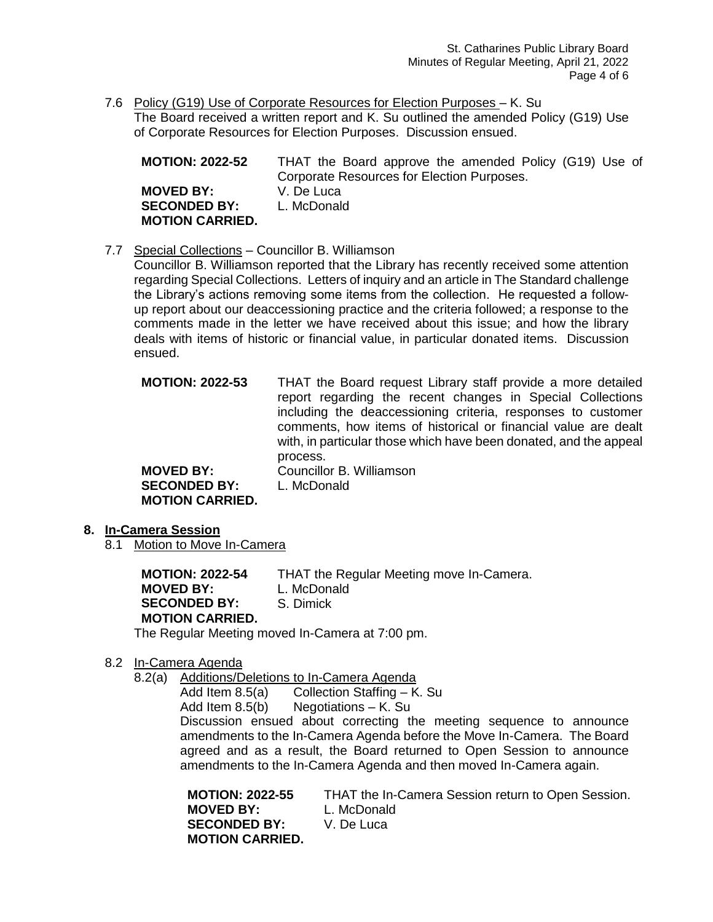7.6 Policy (G19) Use of Corporate Resources for Election Purposes – K. Su The Board received a written report and K. Su outlined the amended Policy (G19) Use of Corporate Resources for Election Purposes. Discussion ensued.

| <b>MOTION: 2022-52</b> | THAT the Board approve the amended Policy (G19) Use of |
|------------------------|--------------------------------------------------------|
|                        | Corporate Resources for Election Purposes.             |
| <b>MOVED BY:</b>       | V. De Luca                                             |
| <b>SECONDED BY:</b>    | L. McDonald                                            |
| <b>MOTION CARRIED.</b> |                                                        |

7.7 Special Collections – Councillor B. Williamson

Councillor B. Williamson reported that the Library has recently received some attention regarding Special Collections. Letters of inquiry and an article in The Standard challenge the Library's actions removing some items from the collection. He requested a followup report about our deaccessioning practice and the criteria followed; a response to the comments made in the letter we have received about this issue; and how the library deals with items of historic or financial value, in particular donated items. Discussion ensued.

**MOTION: 2022-53** THAT the Board request Library staff provide a more detailed report regarding the recent changes in Special Collections including the deaccessioning criteria, responses to customer comments, how items of historical or financial value are dealt with, in particular those which have been donated, and the appeal process. **MOVED BY:** Councillor B. Williamson **SECONDED BY:** L. McDonald

- **8. In-Camera Session**
	- 8.1 Motion to Move In-Camera

**MOTION CARRIED.**

**MOTION: 2022-54** THAT the Regular Meeting move In-Camera. **MOVED BY:** L. McDonald **SECONDED BY:** S. Dimick **MOTION CARRIED.** The Regular Meeting moved In-Camera at 7:00 pm.

- 8.2 In-Camera Agenda
	- 8.2(a) Additions/Deletions to In-Camera Agenda

Add Item 8.5(a) Collection Staffing – K. Su

Add Item 8.5(b) Negotiations – K. Su

Discussion ensued about correcting the meeting sequence to announce amendments to the In-Camera Agenda before the Move In-Camera. The Board agreed and as a result, the Board returned to Open Session to announce amendments to the In-Camera Agenda and then moved In-Camera again.

| <b>MOTION: 2022-55</b> | THAT the In-Camera Session return to Open Session. |
|------------------------|----------------------------------------------------|
| <b>MOVED BY:</b>       | L. McDonald                                        |
| <b>SECONDED BY:</b>    | V. De Luca                                         |
| <b>MOTION CARRIED.</b> |                                                    |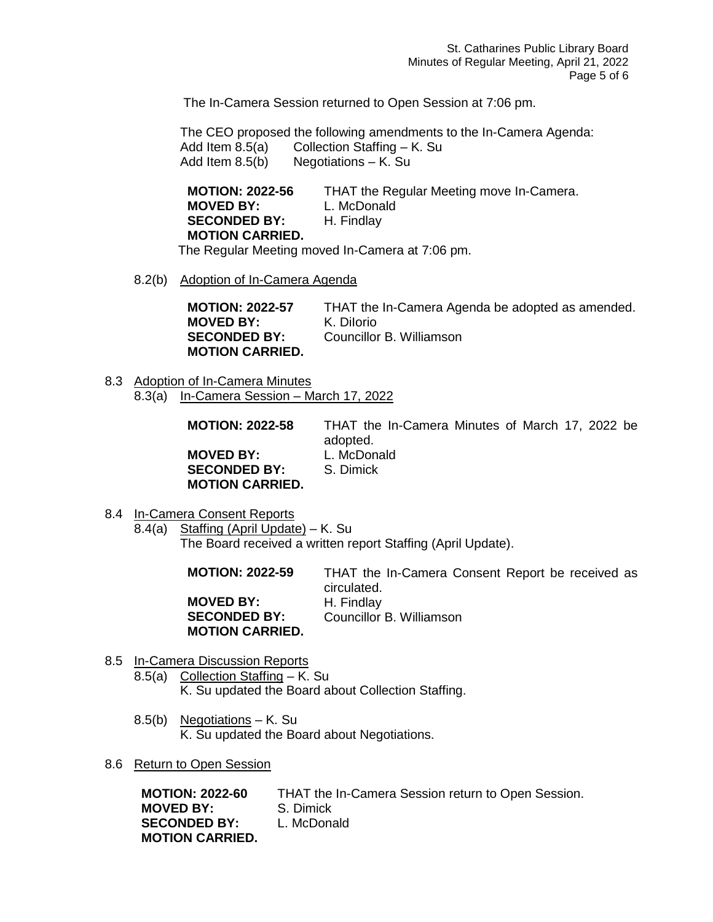The In-Camera Session returned to Open Session at 7:06 pm.

The CEO proposed the following amendments to the In-Camera Agenda: Add Item 8.5(a) Collection Staffing – K. Su<br>Add Item 8.5(b) Negotiations – K. Su Negotiations – K. Su

| <b>MOTION: 2022-56</b> | THAT the Regular Meeting move In-Camera. |
|------------------------|------------------------------------------|
| <b>MOVED BY:</b>       | L. McDonald                              |
| <b>SECONDED BY:</b>    | H. Findlay                               |
| <b>MOTION CARRIED.</b> |                                          |

The Regular Meeting moved In-Camera at 7:06 pm.

8.2(b) Adoption of In-Camera Agenda

| <b>MOTION: 2022-57</b> | THAT the In-Camera Agenda be adopted as amended. |
|------------------------|--------------------------------------------------|
| <b>MOVED BY:</b>       | K. Dilorio                                       |
| <b>SECONDED BY:</b>    | Councillor B. Williamson                         |
| <b>MOTION CARRIED.</b> |                                                  |

8.3 Adoption of In-Camera Minutes 8.3(a) In-Camera Session – March 17, 2022

| <b>MOTION: 2022-58</b> | THAT the In-Camera Minutes of March 17, 2022 be<br>adopted. |
|------------------------|-------------------------------------------------------------|
| <b>MOVED BY:</b>       | L. McDonald                                                 |
| <b>SECONDED BY:</b>    | S. Dimick                                                   |
| <b>MOTION CARRIED.</b> |                                                             |

- 8.4 In-Camera Consent Reports
	- 8.4(a) Staffing (April Update) K. Su The Board received a written report Staffing (April Update).

| <b>MOTION: 2022-59</b> | THAT the In-Camera Consent Report be received as |
|------------------------|--------------------------------------------------|
|                        | circulated.                                      |
| <b>MOVED BY:</b>       | H. Findlay                                       |
| <b>SECONDED BY:</b>    | Councillor B. Williamson                         |
| <b>MOTION CARRIED.</b> |                                                  |

- 8.5 In-Camera Discussion Reports
	- $8.5(a)$  Collection Staffing K. Su K. Su updated the Board about Collection Staffing.
	- 8.5(b) Negotiations K. Su K. Su updated the Board about Negotiations.
- 8.6 Return to Open Session

| <b>MOTION: 2022-60</b> | THAT the In-Camera Session return to Open Session. |
|------------------------|----------------------------------------------------|
| <b>MOVED BY:</b>       | S. Dimick                                          |
| <b>SECONDED BY:</b>    | L. McDonald                                        |
| <b>MOTION CARRIED.</b> |                                                    |